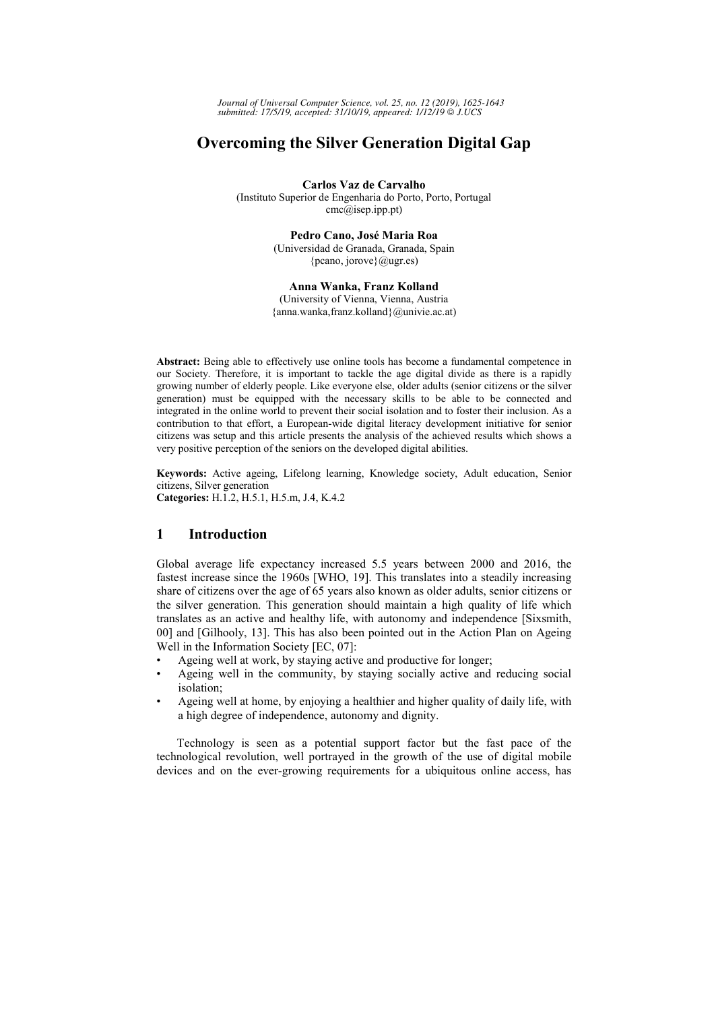Journal of Universal Computer Science, vol. 25, no. 12 (2019), 1625-1643 submitted: 17/5/19, accepted: 31/10/19, appeared: 1/12/19 @ J.UCS

# **Overcoming the Silver Generation Digital Gap**

Carlos Vaz de Carvalho (Instituto Superior de Engenharia do Porto, Porto, Portugal cmc@isep.ipp.pt)

> Pedro Cano, José Maria Roa (Universidad de Granada, Granada, Spain {pcano, jorove}  $(\omega_{\text{ugr.es}})$

> Anna Wanka, Franz Kolland (University of Vienna, Vienna, Austria {anna.wanka,franz.kolland}@univie.ac.at)

Abstract: Being able to effectively use online tools has become a fundamental competence in our Society. Therefore, it is important to tackle the age digital divide as there is a rapidly growing number of elderly people. Like everyone else, older adults (senior citizens or the silver generation) must be equipped with the necessary skills to be able to be connected and integrated in the online world to prevent their social isolation and to foster their inclusion. As a contribution to that effort, a European-wide digital literacy development initiative for senior citizens was setup and this article presents the analysis of the achieved results which shows a very positive perception of the seniors on the developed digital abilities.

Keywords: Active ageing, Lifelong learning, Knowledge society, Adult education, Senior citizens, Silver generation

Categories: H.1.2, H.5.1, H.5.m, J.4, K.4.2

# 1 **Introduction**

Global average life expectancy increased 5.5 years between 2000 and 2016, the fastest increase since the 1960s [WHO, 19]. This translates into a steadily increasing share of citizens over the age of 65 years also known as older adults, senior citizens or the silver generation. This generation should maintain a high quality of life which translates as an active and healthy life, with autonomy and independence [Sixsmith, 00] and [Gilhooly, 13]. This has also been pointed out in the Action Plan on Ageing Well in the Information Society [EC, 07]:

- Ageing well at work, by staying active and productive for longer;
- Ageing well in the community, by staying socially active and reducing social isolation;
- Ageing well at home, by enjoying a healthier and higher quality of daily life, with a high degree of independence, autonomy and dignity.

Technology is seen as a potential support factor but the fast pace of the technological revolution, well portrayed in the growth of the use of digital mobile devices and on the ever-growing requirements for a ubiquitous online access, has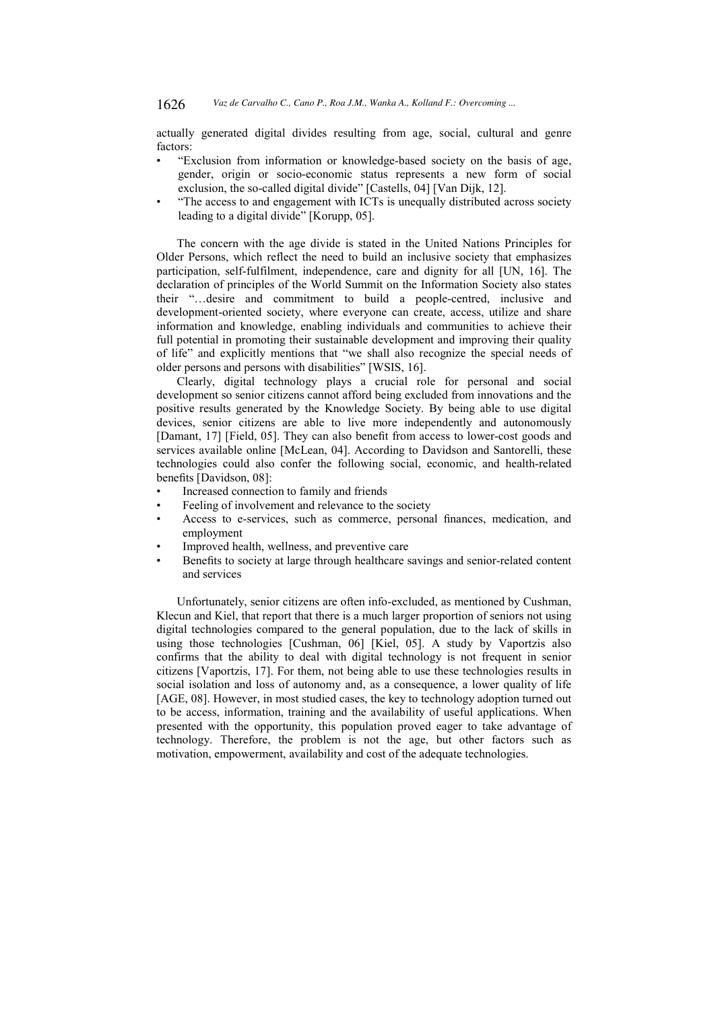actually generated digital divides resulting from age, social, cultural and genre factors:

- "Exclusion from information or knowledge-based society on the basis of age, gender, origin or socio-economic status represents a new form of social exclusion, the so-called digital divide" [Castells, 04] [Van Dijk, 12].
- "The access to and engagement with ICTs is unequally distributed across society leading to a digital divide" [Korupp, 05].

The concern with the age divide is stated in the United Nations Principles for Older Persons, which reflect the need to build an inclusive society that emphasizes participation, self-fulfilment, independence, care and dignity for all [UN, 16]. The declaration of principles of the World Summit on the Information Society also states their "...desire and commitment to build a people-centred, inclusive and development-oriented society, where everyone can create, access, utilize and share information and knowledge, enabling individuals and communities to achieve their full potential in promoting their sustainable development and improving their quality of life" and explicitly mentions that "we shall also recognize the special needs of older persons and persons with disabilities" [WSIS, 16].

Clearly, digital technology plays a crucial role for personal and social development so senior citizens cannot afford being excluded from innovations and the positive results generated by the Knowledge Society. By being able to use digital devices, senior citizens are able to live more independently and autonomously [Damant, 17] [Field, 05]. They can also benefit from access to lower-cost goods and services available online [McLean, 04]. According to Davidson and Santorelli, these technologies could also confer the following social, economic, and health-related benefits [Davidson, 08]:

- Increased connection to family and friends
- Feeling of involvement and relevance to the society
- Access to e-services, such as commerce, personal finances, medication, and employment
- Improved health, wellness, and preventive care
- Benefits to society at large through healthcare savings and senior-related content and services

Unfortunately, senior citizens are often info-excluded, as mentioned by Cushman, Klecun and Kiel, that report that there is a much larger proportion of seniors not using digital technologies compared to the general population, due to the lack of skills in using those technologies [Cushman, 06] [Kiel, 05]. A study by Vaportzis also confirms that the ability to deal with digital technology is not frequent in senior citizens [Vaportzis, 17]. For them, not being able to use these technologies results in social isolation and loss of autonomy and, as a consequence, a lower quality of life [AGE, 08]. However, in most studied cases, the key to technology adoption turned out to be access, information, training and the availability of useful applications. When presented with the opportunity, this population proved eager to take advantage of technology. Therefore, the problem is not the age, but other factors such as motivation, empowerment, availability and cost of the adequate technologies.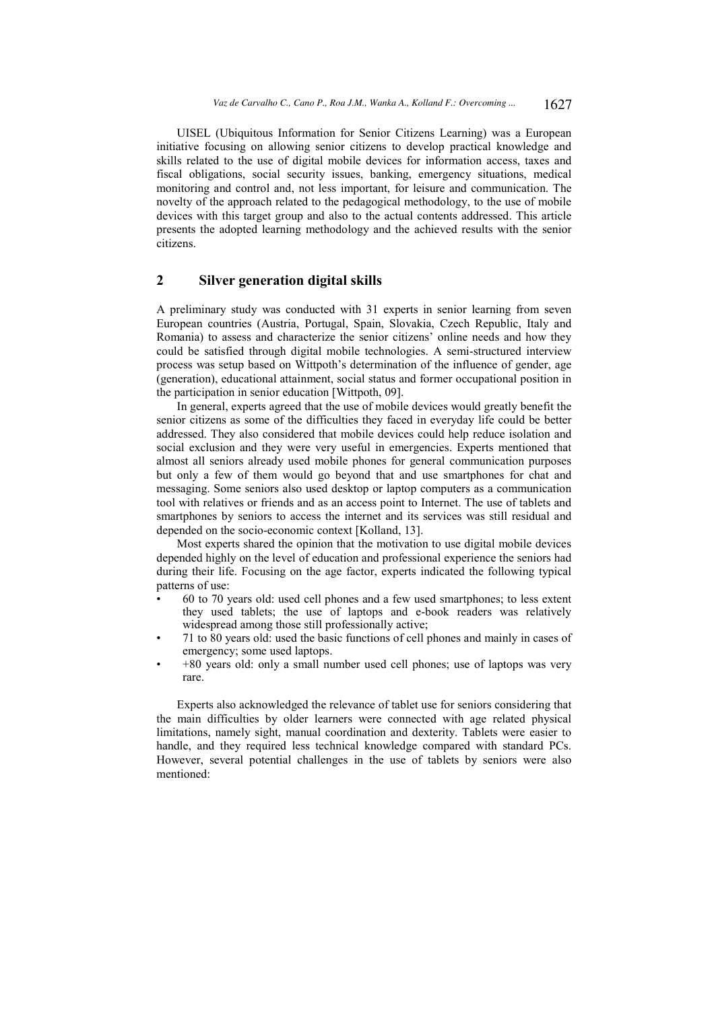UISEL (Ubiquitous Information for Senior Citizens Learning) was a European initiative focusing on allowing senior citizens to develop practical knowledge and skills related to the use of digital mobile devices for information access, taxes and fiscal obligations, social security issues, banking, emergency situations, medical monitoring and control and, not less important, for leisure and communication. The novelty of the approach related to the pedagogical methodology, to the use of mobile devices with this target group and also to the actual contents addressed. This article presents the adopted learning methodology and the achieved results with the senior citizens.

# $\mathbf{2}$ **Silver generation digital skills**

A preliminary study was conducted with 31 experts in senior learning from seven European countries (Austria, Portugal, Spain, Slovakia, Czech Republic, Italy and Romania) to assess and characterize the senior citizens' online needs and how they could be satisfied through digital mobile technologies. A semi-structured interview process was setup based on Wittpoth's determination of the influence of gender, age (generation), educational attainment, social status and former occupational position in the participation in senior education [Wittpoth, 09].

In general, experts agreed that the use of mobile devices would greatly benefit the senior citizens as some of the difficulties they faced in everyday life could be better addressed. They also considered that mobile devices could help reduce isolation and social exclusion and they were very useful in emergencies. Experts mentioned that almost all seniors already used mobile phones for general communication purposes but only a few of them would go beyond that and use smartphones for chat and messaging. Some seniors also used desktop or laptop computers as a communication tool with relatives or friends and as an access point to Internet. The use of tablets and smartphones by seniors to access the internet and its services was still residual and depended on the socio-economic context [Kolland, 13].

Most experts shared the opinion that the motivation to use digital mobile devices depended highly on the level of education and professional experience the seniors had during their life. Focusing on the age factor, experts indicated the following typical patterns of use:

- 60 to 70 years old: used cell phones and a few used smartphones; to less extent they used tablets; the use of laptops and e-book readers was relatively widespread among those still professionally active;
- 71 to 80 years old: used the basic functions of cell phones and mainly in cases of emergency; some used laptops.
- +80 years old: only a small number used cell phones; use of laptops was very rare.

Experts also acknowledged the relevance of tablet use for seniors considering that the main difficulties by older learners were connected with age related physical limitations, namely sight, manual coordination and dexterity. Tablets were easier to handle, and they required less technical knowledge compared with standard PCs. However, several potential challenges in the use of tablets by seniors were also mentioned: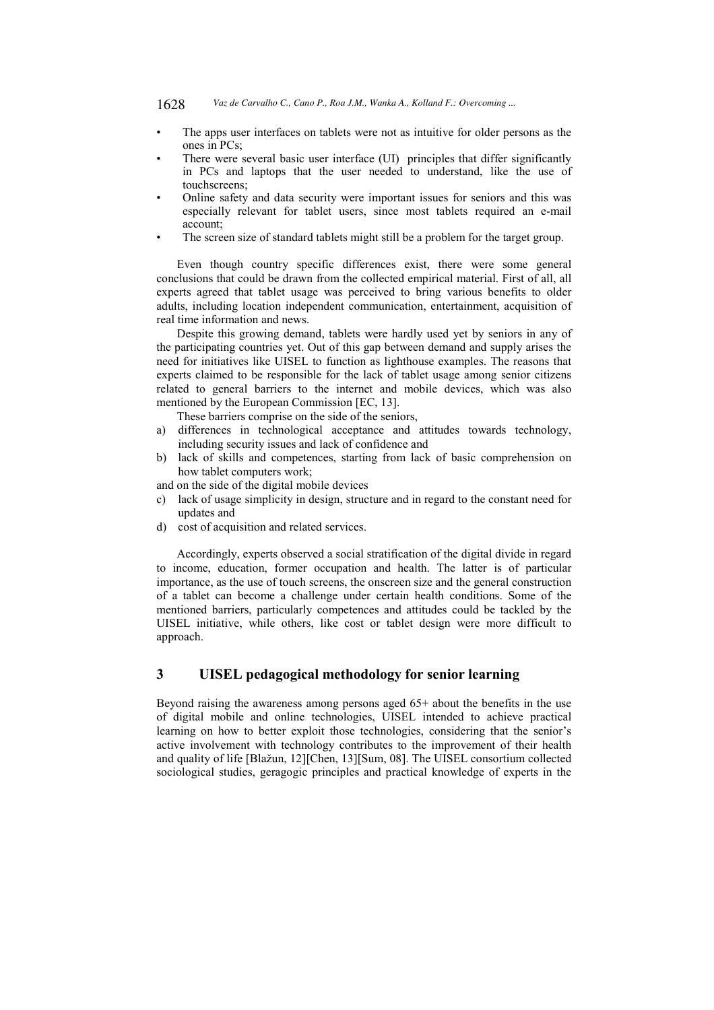- The apps user interfaces on tablets were not as intuitive for older persons as the ones in  $PCs$
- There were several basic user interface (UI) principles that differ significantly in PCs and laptops that the user needed to understand, like the use of touchscreens;
- Online safety and data security were important issues for seniors and this was especially relevant for tablet users, since most tablets required an e-mail account:
- The screen size of standard tablets might still be a problem for the target group.

Even though country specific differences exist, there were some general conclusions that could be drawn from the collected empirical material. First of all, all experts agreed that tablet usage was perceived to bring various benefits to older adults, including location independent communication, entertainment, acquisition of real time information and news.

Despite this growing demand, tablets were hardly used yet by seniors in any of the participating countries yet. Out of this gap between demand and supply arises the need for initiatives like UISEL to function as lighthouse examples. The reasons that experts claimed to be responsible for the lack of tablet usage among senior citizens related to general barriers to the internet and mobile devices, which was also mentioned by the European Commission [EC, 13].

These barriers comprise on the side of the seniors.

- differences in technological acceptance and attitudes towards technology, a) including security issues and lack of confidence and
- $h)$ lack of skills and competences, starting from lack of basic comprehension on how tablet computers work:
- and on the side of the digital mobile devices
- lack of usage simplicity in design, structure and in regard to the constant need for  $c)$ updates and
- cost of acquisition and related services. d)

Accordingly, experts observed a social stratification of the digital divide in regard to income, education, former occupation and health. The latter is of particular importance, as the use of touch screens, the onscreen size and the general construction of a tablet can become a challenge under certain health conditions. Some of the mentioned barriers, particularly competences and attitudes could be tackled by the UISEL initiative, while others, like cost or tablet design were more difficult to approach.

# 3 **UISEL** pedagogical methodology for senior learning

Bevond raising the awareness among persons aged  $65<sup>+</sup>$  about the benefits in the use of digital mobile and online technologies, UISEL intended to achieve practical learning on how to better exploit those technologies, considering that the senior's active involvement with technology contributes to the improvement of their health and quality of life [Blažun, 12][Chen, 13][Sum, 08]. The UISEL consortium collected sociological studies, geragogic principles and practical knowledge of experts in the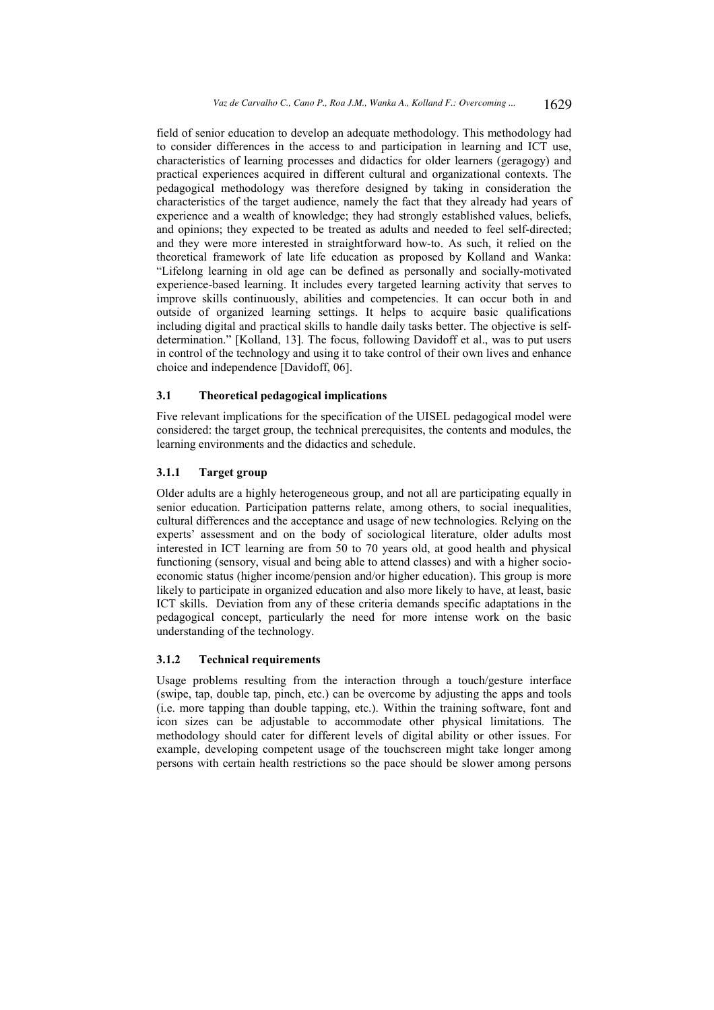field of senior education to develop an adequate methodology. This methodology had to consider differences in the access to and participation in learning and ICT use, characteristics of learning processes and didactics for older learners (geragogy) and practical experiences acquired in different cultural and organizational contexts. The pedagogical methodology was therefore designed by taking in consideration the characteristics of the target audience, namely the fact that they already had years of experience and a wealth of knowledge; they had strongly established values, beliefs, and opinions; they expected to be treated as adults and needed to feel self-directed; and they were more interested in straightforward how-to. As such, it relied on the theoretical framework of late life education as proposed by Kolland and Wanka: "Lifelong learning in old age can be defined as personally and socially-motivated experience-based learning. It includes every targeted learning activity that serves to improve skills continuously, abilities and competencies. It can occur both in and outside of organized learning settings. It helps to acquire basic qualifications including digital and practical skills to handle daily tasks better. The objective is selfdetermination." [Kolland, 13]. The focus, following Davidoff et al., was to put users in control of the technology and using it to take control of their own lives and enhance choice and independence [Davidoff, 06].

#### $3.1$ Theoretical pedagogical implications

Five relevant implications for the specification of the UISEL pedagogical model were considered: the target group, the technical prerequisites, the contents and modules, the learning environments and the didactics and schedule.

# $3.1.1$ **Target group**

Older adults are a highly heterogeneous group, and not all are participating equally in senior education. Participation patterns relate, among others, to social inequalities, cultural differences and the acceptance and usage of new technologies. Relying on the experts' assessment and on the body of sociological literature, older adults most interested in ICT learning are from 50 to 70 years old, at good health and physical functioning (sensory, visual and being able to attend classes) and with a higher socioeconomic status (higher income/pension and/or higher education). This group is more likely to participate in organized education and also more likely to have, at least, basic ICT skills. Deviation from any of these criteria demands specific adaptations in the pedagogical concept, particularly the need for more intense work on the basic understanding of the technology.

### $3.1.2$ **Technical requirements**

Usage problems resulting from the interaction through a touch/gesture interface (swipe, tap, double tap, pinch, etc.) can be overcome by adjusting the apps and tools (i.e. more tapping than double tapping, etc.). Within the training software, font and icon sizes can be adjustable to accommodate other physical limitations. The methodology should cater for different levels of digital ability or other issues. For example, developing competent usage of the touchscreen might take longer among persons with certain health restrictions so the pace should be slower among persons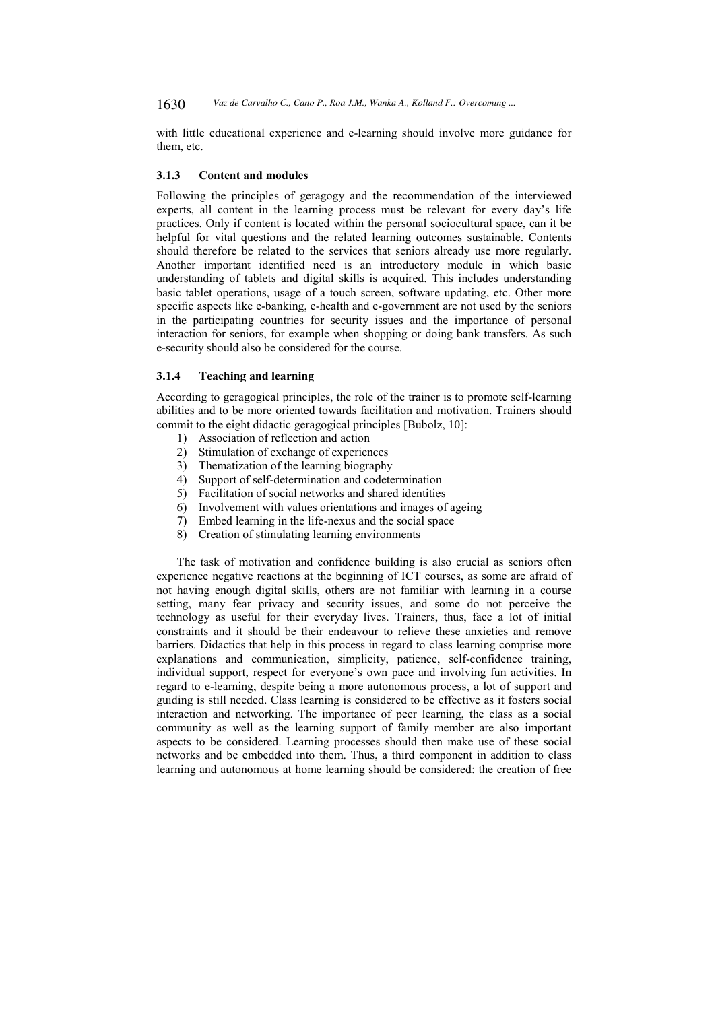with little educational experience and e-learning should involve more guidance for them, etc.

#### $3.1.3$ **Content and modules**

Following the principles of geragogy and the recommendation of the interviewed experts, all content in the learning process must be relevant for every day's life practices. Only if content is located within the personal sociocultural space, can it be helpful for vital questions and the related learning outcomes sustainable. Contents should therefore be related to the services that seniors already use more regularly. Another important identified need is an introductory module in which basic understanding of tablets and digital skills is acquired. This includes understanding basic tablet operations, usage of a touch screen, software updating, etc. Other more specific aspects like e-banking, e-health and e-government are not used by the seniors in the participating countries for security issues and the importance of personal interaction for seniors, for example when shopping or doing bank transfers. As such e-security should also be considered for the course.

#### $3.1.4$ **Teaching and learning**

According to geragogical principles, the role of the trainer is to promote self-learning abilities and to be more oriented towards facilitation and motivation. Trainers should commit to the eight didactic geragogical principles [Bubolz, 10]:

- 1) Association of reflection and action
- $2)$ Stimulation of exchange of experiences
- 3) Thematization of the learning biography
- 4) Support of self-determination and codetermination
- 5) Facilitation of social networks and shared identities
- 6) Involvement with values orientations and images of ageing
- 7) Embed learning in the life-nexus and the social space
- 8) Creation of stimulating learning environments

The task of motivation and confidence building is also crucial as seniors often experience negative reactions at the beginning of ICT courses, as some are afraid of not having enough digital skills, others are not familiar with learning in a course setting, many fear privacy and security issues, and some do not perceive the technology as useful for their everyday lives. Trainers, thus, face a lot of initial constraints and it should be their endeavour to relieve these anxieties and remove barriers. Didactics that help in this process in regard to class learning comprise more explanations and communication, simplicity, patience, self-confidence training, individual support, respect for everyone's own pace and involving fun activities. In regard to e-learning, despite being a more autonomous process, a lot of support and guiding is still needed. Class learning is considered to be effective as it fosters social interaction and networking. The importance of peer learning, the class as a social community as well as the learning support of family member are also important aspects to be considered. Learning processes should then make use of these social networks and be embedded into them. Thus, a third component in addition to class learning and autonomous at home learning should be considered: the creation of free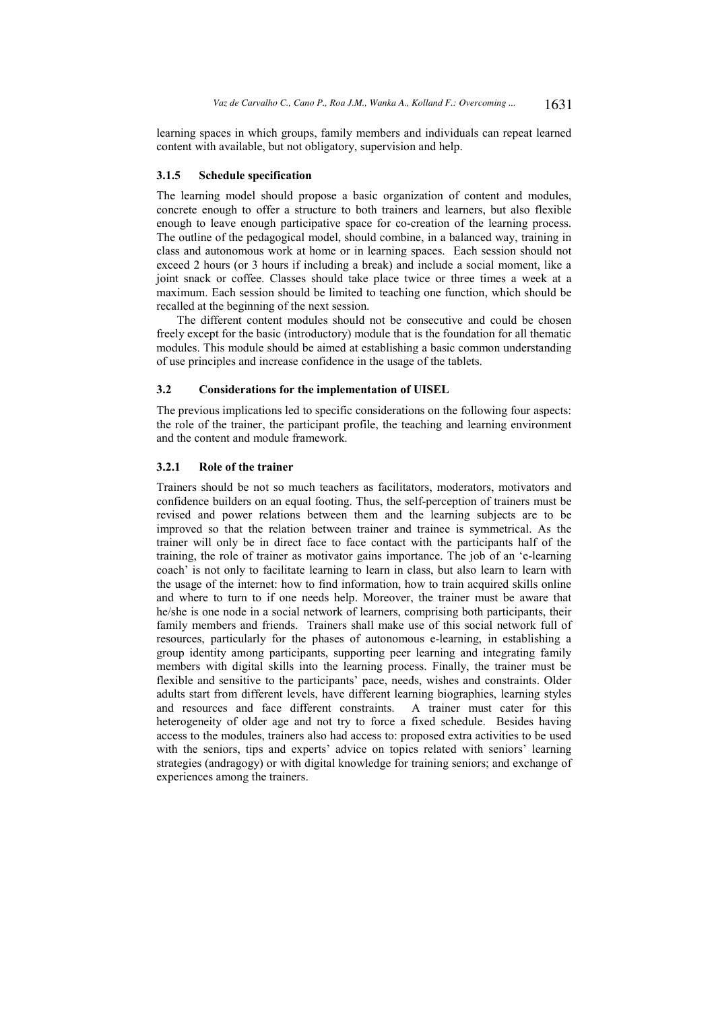learning spaces in which groups, family members and individuals can repeat learned content with available, but not obligatory, supervision and help.

#### $3.1.5$ **Schedule specification**

The learning model should propose a basic organization of content and modules, concrete enough to offer a structure to both trainers and learners, but also flexible enough to leave enough participative space for co-creation of the learning process. The outline of the pedagogical model, should combine, in a balanced way, training in class and autonomous work at home or in learning spaces. Each session should not exceed 2 hours (or 3 hours if including a break) and include a social moment, like a joint snack or coffee. Classes should take place twice or three times a week at a maximum. Each session should be limited to teaching one function, which should be recalled at the beginning of the next session.

The different content modules should not be consecutive and could be chosen freely except for the basic (introductory) module that is the foundation for all thematic modules. This module should be aimed at establishing a basic common understanding of use principles and increase confidence in the usage of the tablets.

### $3.2$ **Considerations for the implementation of UISEL**

The previous implications led to specific considerations on the following four aspects: the role of the trainer, the participant profile, the teaching and learning environment and the content and module framework.

# $3.2.1$ Role of the trainer

Trainers should be not so much teachers as facilitators, moderators, motivators and confidence builders on an equal footing. Thus, the self-perception of trainers must be revised and power relations between them and the learning subjects are to be improved so that the relation between trainer and trainee is symmetrical. As the trainer will only be in direct face to face contact with the participants half of the training, the role of trainer as motivator gains importance. The job of an 'e-learning coach' is not only to facilitate learning to learn in class, but also learn to learn with the usage of the internet: how to find information, how to train acquired skills online and where to turn to if one needs help. Moreover, the trainer must be aware that he/she is one node in a social network of learners, comprising both participants, their family members and friends. Trainers shall make use of this social network full of resources, particularly for the phases of autonomous e-learning, in establishing a group identity among participants, supporting peer learning and integrating family members with digital skills into the learning process. Finally, the trainer must be flexible and sensitive to the participants' pace, needs, wishes and constraints. Older adults start from different levels, have different learning biographies, learning styles A trainer must cater for this and resources and face different constraints. heterogeneity of older age and not try to force a fixed schedule. Besides having access to the modules, trainers also had access to: proposed extra activities to be used with the seniors, tips and experts' advice on topics related with seniors' learning strategies (andragogy) or with digital knowledge for training seniors; and exchange of experiences among the trainers.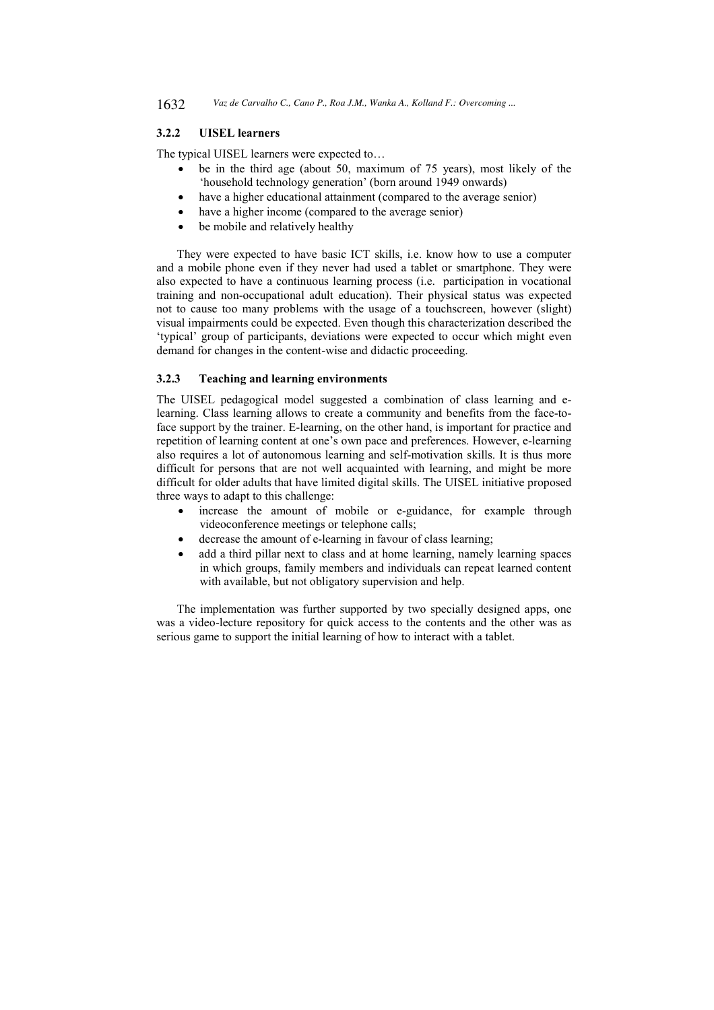### $3.2.2$ **UISEL** learners

The typical UISEL learners were expected to...

- be in the third age (about 50, maximum of 75 years), most likely of the 'household technology generation' (born around 1949 onwards)
- have a higher educational attainment (compared to the average senior)
- have a higher income (compared to the average senior)
- be mobile and relatively healthy

They were expected to have basic ICT skills, i.e. know how to use a computer and a mobile phone even if they never had used a tablet or smartphone. They were also expected to have a continuous learning process (i.e. participation in vocational training and non-occupational adult education). Their physical status was expected not to cause too many problems with the usage of a touchscreen, however (slight) visual impairments could be expected. Even though this characterization described the 'typical' group of participants, deviations were expected to occur which might even demand for changes in the content-wise and didactic proceeding.

#### $3.2.3$ **Teaching and learning environments**

The UISEL pedagogical model suggested a combination of class learning and elearning. Class learning allows to create a community and benefits from the face-toface support by the trainer. E-learning, on the other hand, is important for practice and repetition of learning content at one's own pace and preferences. However, e-learning also requires a lot of autonomous learning and self-motivation skills. It is thus more difficult for persons that are not well acquainted with learning, and might be more difficult for older adults that have limited digital skills. The UISEL initiative proposed three ways to adapt to this challenge:

- increase the amount of mobile or e-guidance, for example through  $\bullet$ videoconference meetings or telephone calls;
- decrease the amount of e-learning in favour of class learning;
- add a third pillar next to class and at home learning, namely learning spaces in which groups, family members and individuals can repeat learned content with available, but not obligatory supervision and help.

The implementation was further supported by two specially designed apps, one was a video-lecture repository for quick access to the contents and the other was as serious game to support the initial learning of how to interact with a tablet.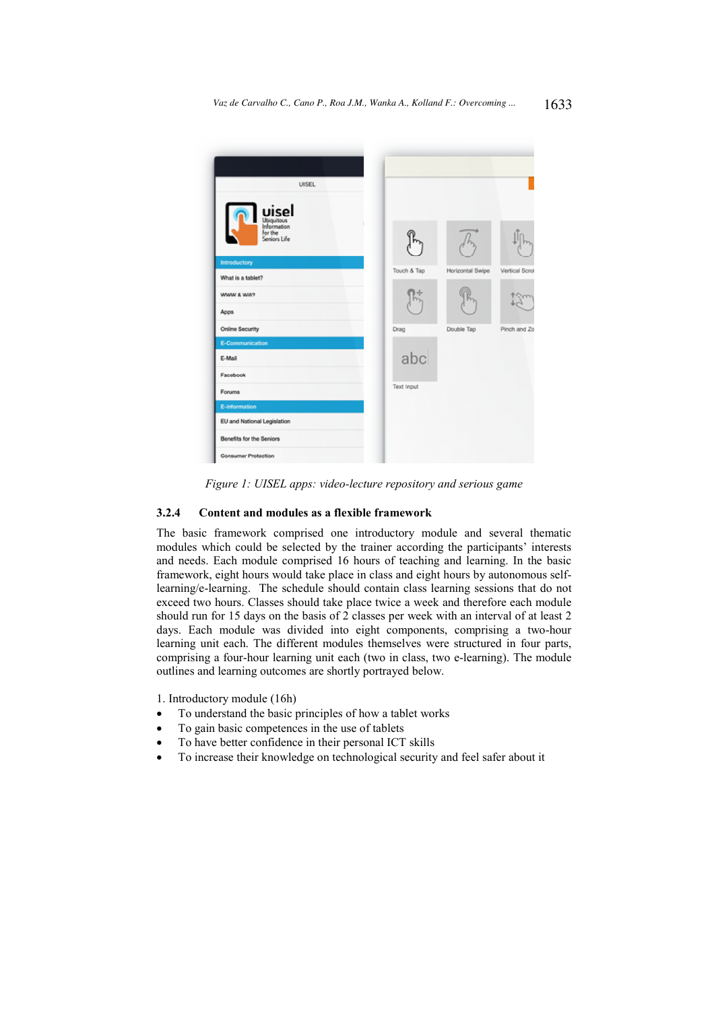

Figure 1: UISEL apps: video-lecture repository and serious game

# $3.2.4$ Content and modules as a flexible framework

The basic framework comprised one introductory module and several thematic modules which could be selected by the trainer according the participants' interests and needs. Each module comprised 16 hours of teaching and learning. In the basic framework, eight hours would take place in class and eight hours by autonomous selflearning/e-learning. The schedule should contain class learning sessions that do not exceed two hours. Classes should take place twice a week and therefore each module should run for 15 days on the basis of 2 classes per week with an interval of at least 2 days. Each module was divided into eight components, comprising a two-hour learning unit each. The different modules themselves were structured in four parts, comprising a four-hour learning unit each (two in class, two e-learning). The module outlines and learning outcomes are shortly portrayed below.

1. Introductory module (16h)

- To understand the basic principles of how a tablet works
- To gain basic competences in the use of tablets
- To have better confidence in their personal ICT skills
- To increase their knowledge on technological security and feel safer about it  $\bullet$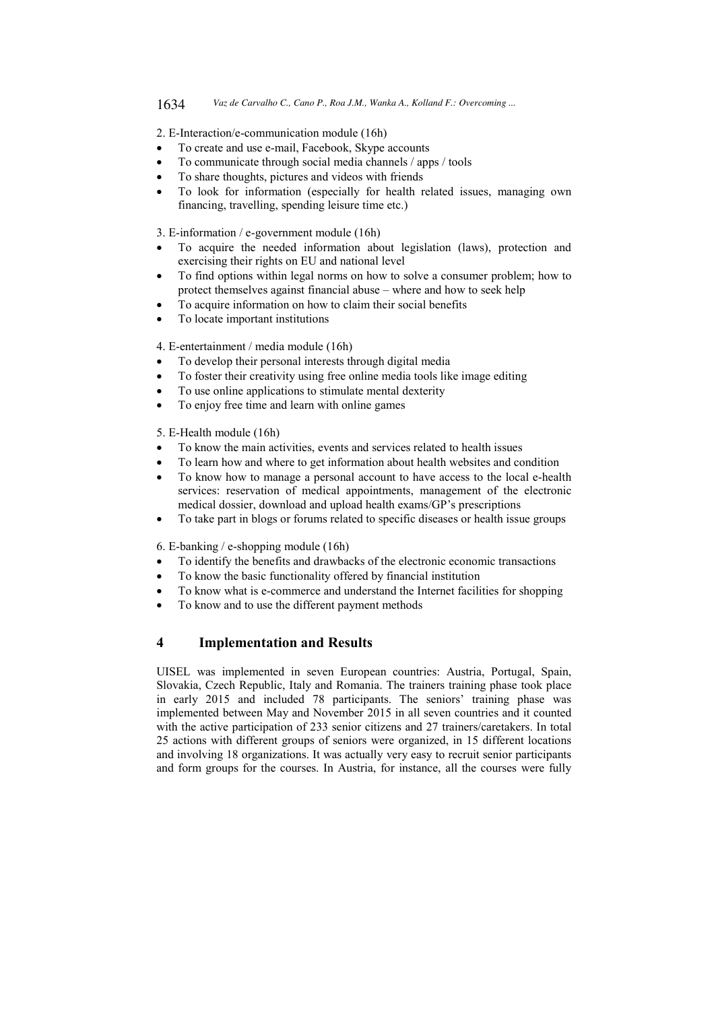2. E-Interaction/e-communication module (16h)

- To create and use e-mail, Facebook, Skype accounts
- To communicate through social media channels / apps / tools
- To share thoughts, pictures and videos with friends
- To look for information (especially for health related issues, managing own financing, travelling, spending leisure time etc.)

3. E-information / e-government module (16h)

- To acquire the needed information about legislation (laws), protection and exercising their rights on EU and national level
- To find options within legal norms on how to solve a consumer problem; how to protect themselves against financial abuse - where and how to seek help
- To acquire information on how to claim their social benefits
- To locate important institutions

4. E-entertainment / media module (16h)

- To develop their personal interests through digital media
- To foster their creativity using free online media tools like image editing
- To use online applications to stimulate mental dexterity
- To enjoy free time and learn with online games

5. E-Health module (16h)

- To know the main activities, events and services related to health issues
- To learn how and where to get information about health websites and condition
- To know how to manage a personal account to have access to the local e-health services: reservation of medical appointments, management of the electronic medical dossier, download and upload health exams/GP's prescriptions
- To take part in blogs or forums related to specific diseases or health issue groups

6. E-banking / e-shopping module  $(16h)$ 

- To identify the benefits and drawbacks of the electronic economic transactions
- To know the basic functionality offered by financial institution
- To know what is e-commerce and understand the Internet facilities for shopping
- To know and to use the different payment methods

# $\overline{\mathbf{4}}$ **Implementation and Results**

UISEL was implemented in seven European countries: Austria, Portugal, Spain, Slovakia, Czech Republic, Italy and Romania. The trainers training phase took place in early 2015 and included 78 participants. The seniors' training phase was implemented between May and November 2015 in all seven countries and it counted with the active participation of 233 senior citizens and 27 trainers/caretakers. In total 25 actions with different groups of seniors were organized, in 15 different locations and involving 18 organizations. It was actually very easy to recruit senior participants and form groups for the courses. In Austria, for instance, all the courses were fully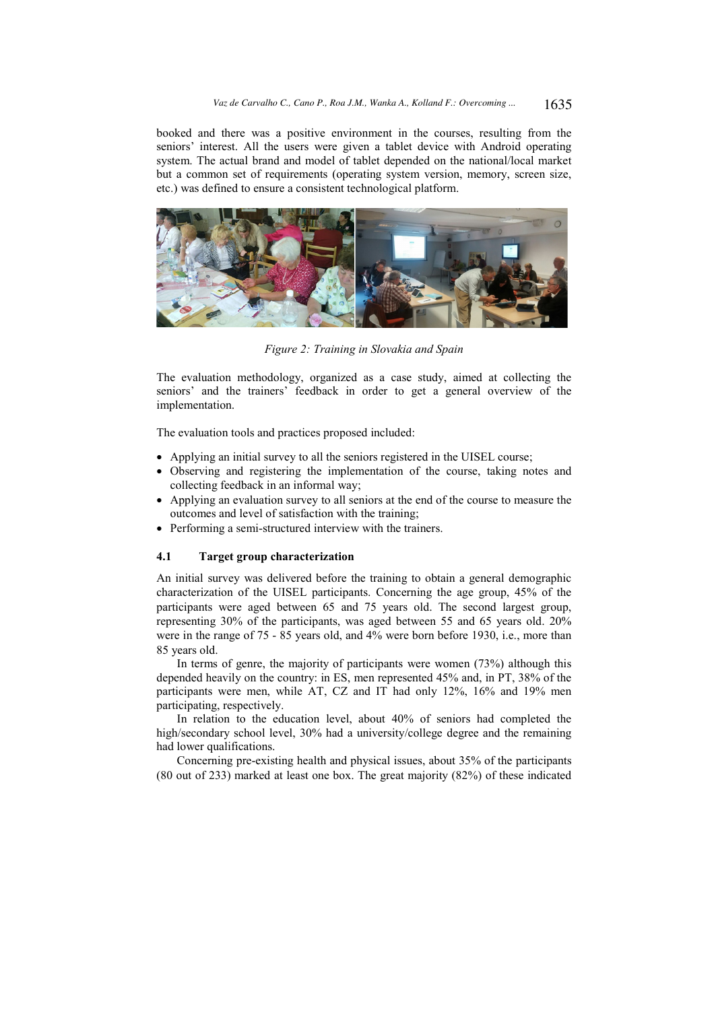booked and there was a positive environment in the courses, resulting from the seniors' interest. All the users were given a tablet device with Android operating system. The actual brand and model of tablet depended on the national/local market but a common set of requirements (operating system version, memory, screen size, etc.) was defined to ensure a consistent technological platform.



Figure 2: Training in Slovakia and Spain

The evaluation methodology, organized as a case study, aimed at collecting the seniors' and the trainers' feedback in order to get a general overview of the implementation.

The evaluation tools and practices proposed included:

- Applying an initial survey to all the seniors registered in the UISEL course;
- Observing and registering the implementation of the course, taking notes and collecting feedback in an informal way;
- Applying an evaluation survey to all seniors at the end of the course to measure the outcomes and level of satisfaction with the training;
- Performing a semi-structured interview with the trainers.

#### 4.1 Target group characterization

An initial survey was delivered before the training to obtain a general demographic characterization of the UISEL participants. Concerning the age group, 45% of the participants were aged between 65 and 75 years old. The second largest group, representing 30% of the participants, was aged between 55 and 65 years old. 20% were in the range of 75 - 85 years old, and 4% were born before 1930, i.e., more than 85 years old.

In terms of genre, the majority of participants were women (73%) although this depended heavily on the country: in ES, men represented 45% and, in PT, 38% of the participants were men, while AT, CZ and IT had only 12%, 16% and 19% men participating, respectively.

In relation to the education level, about 40% of seniors had completed the high/secondary school level, 30% had a university/college degree and the remaining had lower qualifications.

Concerning pre-existing health and physical issues, about 35% of the participants  $(80 \text{ out of } 233)$  marked at least one box. The great majority  $(82\%)$  of these indicated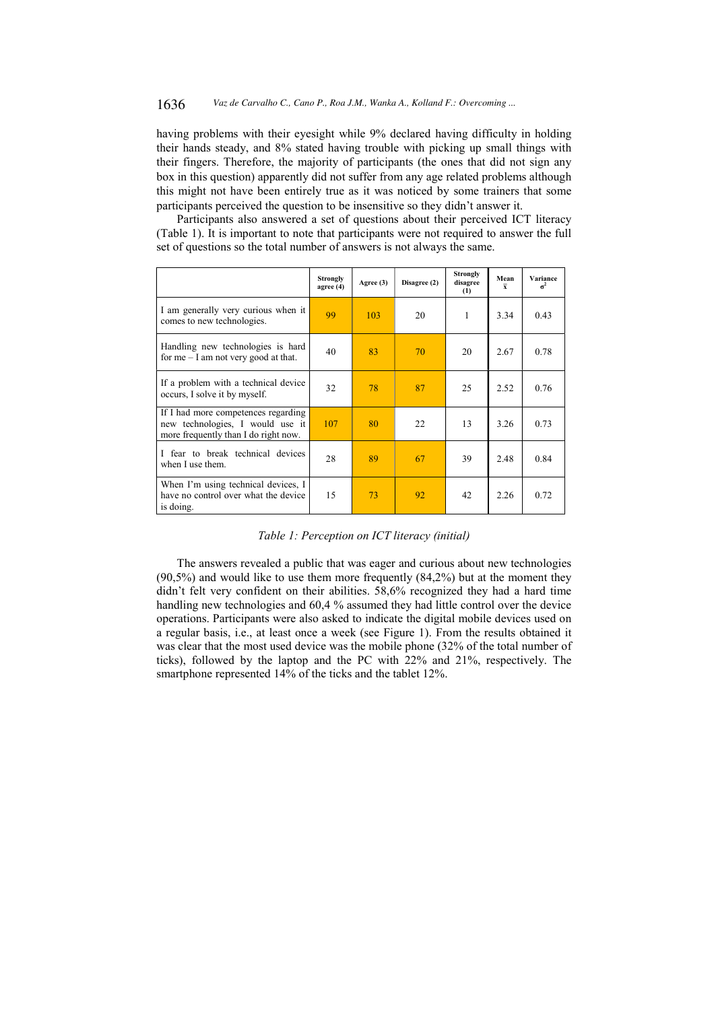#### 1636 Vaz de Carvalho C., Cano P., Roa J.M., Wanka A., Kolland F.: Overcoming ...

having problems with their eyesight while 9% declared having difficulty in holding their hands steady, and 8% stated having trouble with picking up small things with their fingers. Therefore, the majority of participants (the ones that did not sign any box in this question) apparently did not suffer from any age related problems although this might not have been entirely true as it was noticed by some trainers that some participants perceived the question to be insensitive so they didn't answer it.

Participants also answered a set of questions about their perceived ICT literacy (Table 1). It is important to note that participants were not required to answer the full set of questions so the total number of answers is not always the same.

|                                                                                                                 | <b>Strongly</b><br>agree $(4)$ | Agree $(3)$ | Disagree (2) | <b>Strongly</b><br>disagree<br>(1) | Mean<br>$\overline{\mathbf{v}}$ | Variance<br>$\sigma^2$ |
|-----------------------------------------------------------------------------------------------------------------|--------------------------------|-------------|--------------|------------------------------------|---------------------------------|------------------------|
| I am generally very curious when it<br>comes to new technologies.                                               | 99                             | 103         | 20           | 1                                  | 3.34                            | 0.43                   |
| Handling new technologies is hard<br>for $me - I$ am not very good at that.                                     | 40                             | 83          | 70           | 20                                 | 2.67                            | 0.78                   |
| If a problem with a technical device<br>occurs, I solve it by myself.                                           | 32                             | 78          | 87           | 25                                 | 2.52                            | 0.76                   |
| If I had more competences regarding<br>new technologies, I would use it<br>more frequently than I do right now. | 107                            | 80          | 22           | 13                                 | 3.26                            | 0.73                   |
| fear to break technical devices<br>when I use them.                                                             | 28                             | 89          | 67           | 39                                 | 2.48                            | 0.84                   |
| When I'm using technical devices, I<br>have no control over what the device<br>is doing.                        | 15                             | 73          | 92           | 42                                 | 2.26                            | 0.72                   |

Table 1: Perception on ICT literacy (initial)

The answers revealed a public that was eager and curious about new technologies  $(90,5%)$  and would like to use them more frequently  $(84,2%)$  but at the moment they didn't felt very confident on their abilities. 58,6% recognized they had a hard time handling new technologies and 60,4 % assumed they had little control over the device operations. Participants were also asked to indicate the digital mobile devices used on a regular basis, i.e., at least once a week (see Figure 1). From the results obtained it was clear that the most used device was the mobile phone (32% of the total number of ticks), followed by the laptop and the PC with 22% and 21%, respectively. The smartphone represented 14% of the ticks and the tablet 12%.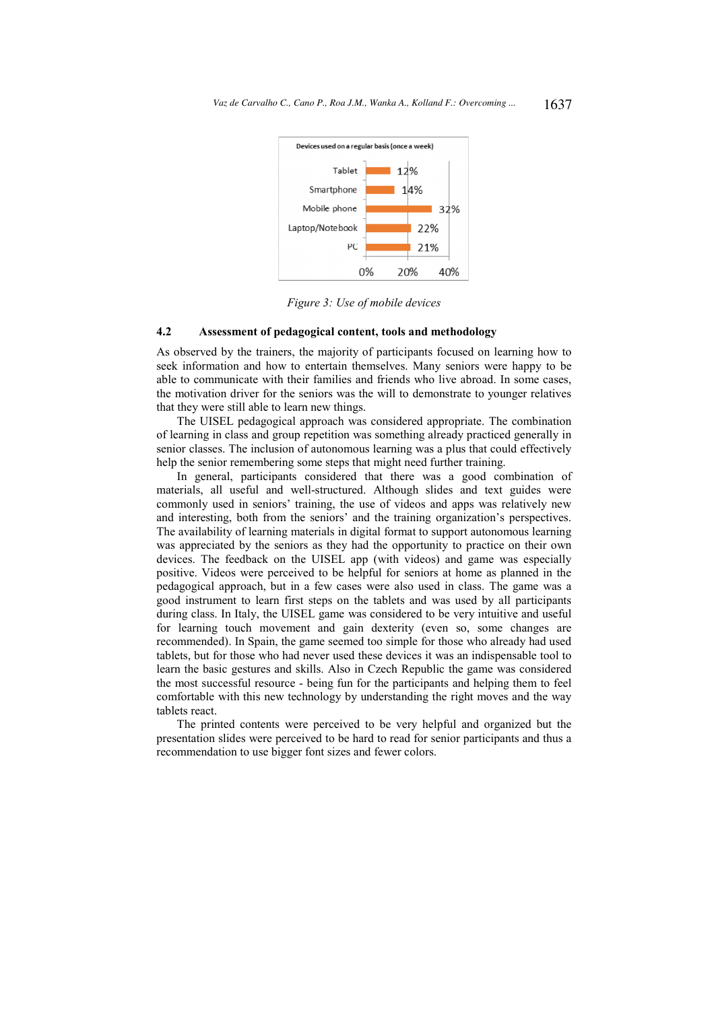

Figure 3: Use of mobile devices

### $4.2$ Assessment of pedagogical content, tools and methodology

As observed by the trainers, the majority of participants focused on learning how to seek information and how to entertain themselves. Many seniors were happy to be able to communicate with their families and friends who live abroad. In some cases, the motivation driver for the seniors was the will to demonstrate to younger relatives that they were still able to learn new things.

The UISEL pedagogical approach was considered appropriate. The combination of learning in class and group repetition was something already practiced generally in senior classes. The inclusion of autonomous learning was a plus that could effectively help the senior remembering some steps that might need further training.

In general, participants considered that there was a good combination of materials, all useful and well-structured. Although slides and text guides were commonly used in seniors' training, the use of videos and apps was relatively new and interesting, both from the seniors' and the training organization's perspectives. The availability of learning materials in digital format to support autonomous learning was appreciated by the seniors as they had the opportunity to practice on their own devices. The feedback on the UISEL app (with videos) and game was especially positive. Videos were perceived to be helpful for seniors at home as planned in the pedagogical approach, but in a few cases were also used in class. The game was a good instrument to learn first steps on the tablets and was used by all participants during class. In Italy, the UISEL game was considered to be very intuitive and useful for learning touch movement and gain dexterity (even so, some changes are recommended). In Spain, the game seemed too simple for those who already had used tablets, but for those who had never used these devices it was an indispensable tool to learn the basic gestures and skills. Also in Czech Republic the game was considered the most successful resource - being fun for the participants and helping them to feel comfortable with this new technology by understanding the right moves and the way tablets react.

The printed contents were perceived to be very helpful and organized but the presentation slides were perceived to be hard to read for senior participants and thus a recommendation to use bigger font sizes and fewer colors.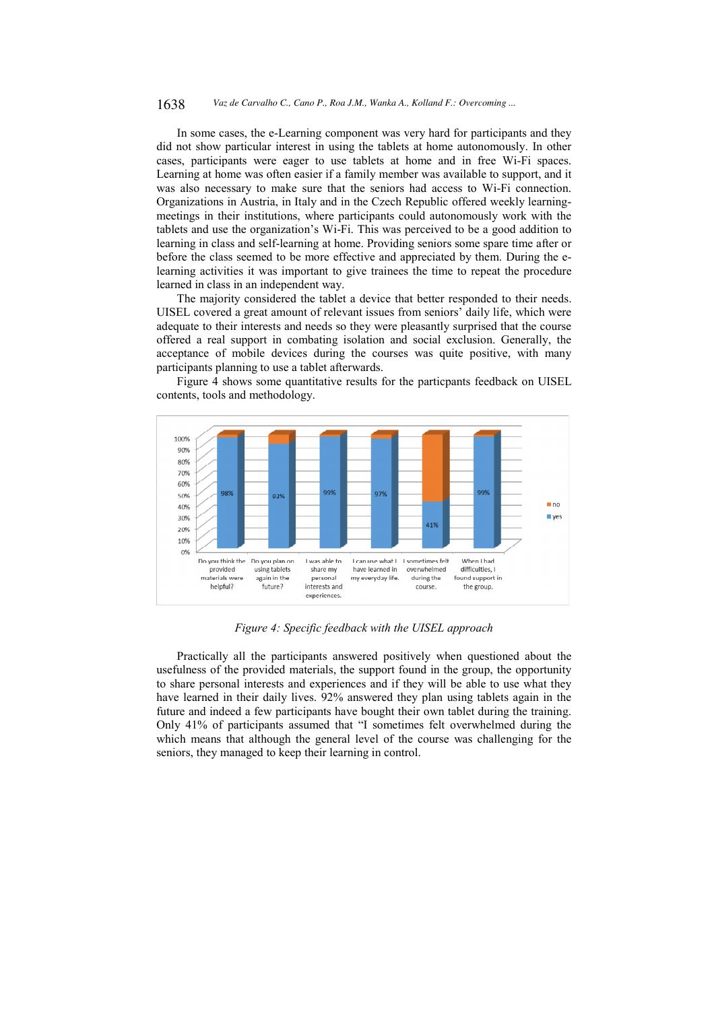#### 1638 Vaz de Carvalho C., Cano P., Roa J.M., Wanka A., Kolland F.: Overcoming ...

In some cases, the e-Learning component was very hard for participants and they did not show particular interest in using the tablets at home autonomously. In other cases, participants were eager to use tablets at home and in free Wi-Fi spaces. Learning at home was often easier if a family member was available to support, and it was also necessary to make sure that the seniors had access to Wi-Fi connection. Organizations in Austria, in Italy and in the Czech Republic offered weekly learningmeetings in their institutions, where participants could autonomously work with the tablets and use the organization's Wi-Fi. This was perceived to be a good addition to learning in class and self-learning at home. Providing seniors some spare time after or before the class seemed to be more effective and appreciated by them. During the elearning activities it was important to give trainees the time to repeat the procedure learned in class in an independent way.

The majority considered the tablet a device that better responded to their needs. UISEL covered a great amount of relevant issues from seniors' daily life, which were adequate to their interests and needs so they were pleasantly surprised that the course offered a real support in combating isolation and social exclusion. Generally, the acceptance of mobile devices during the courses was quite positive, with many participants planning to use a tablet afterwards.

Figure 4 shows some quantitative results for the particpants feedback on UISEL contents, tools and methodology.



Figure 4: Specific feedback with the UISEL approach

Practically all the participants answered positively when questioned about the usefulness of the provided materials, the support found in the group, the opportunity to share personal interests and experiences and if they will be able to use what they have learned in their daily lives. 92% answered they plan using tablets again in the future and indeed a few participants have bought their own tablet during the training. Only 41% of participants assumed that "I sometimes felt overwhelmed during the which means that although the general level of the course was challenging for the seniors, they managed to keep their learning in control.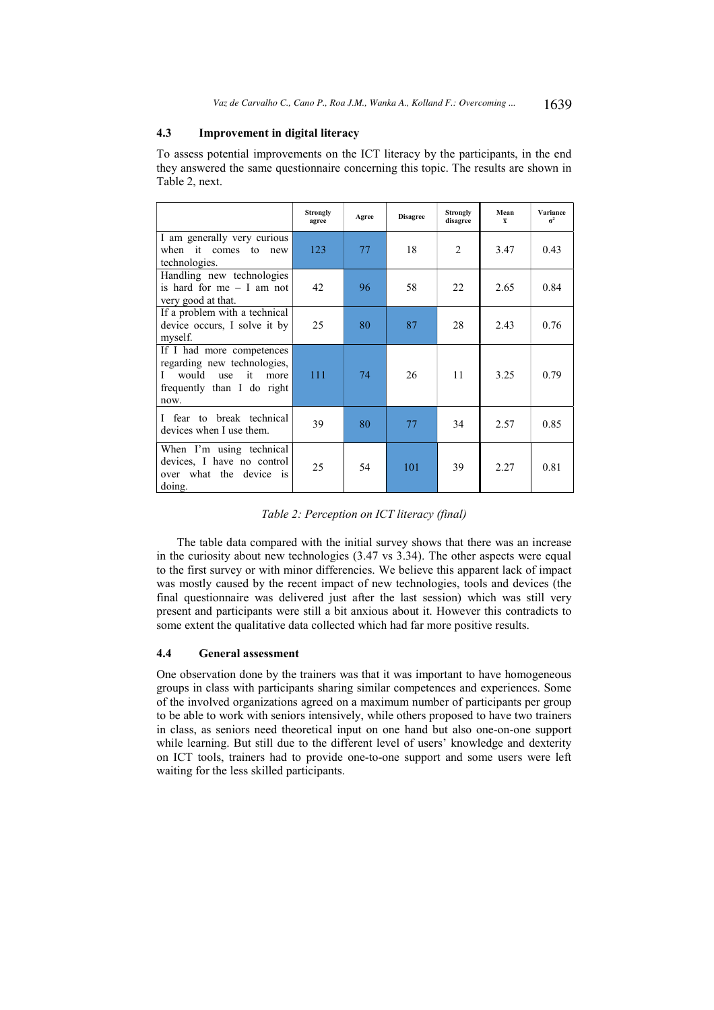# 4.3 **Improvement in digital literacy**

To assess potential improvements on the ICT literacy by the participants, in the end they answered the same questionnaire concerning this topic. The results are shown in Table 2, next.

|                                                                                                                                   | Strongly<br>agree | Agree | <b>Disagree</b> | Strongly<br>disagree | Mean<br>$\overline{\mathbf{x}}$ | Variance<br>$\pi^2$ |
|-----------------------------------------------------------------------------------------------------------------------------------|-------------------|-------|-----------------|----------------------|---------------------------------|---------------------|
| I am generally very curious<br>when it comes to<br>new<br>technologies.                                                           | 123               | 77    | 18              | $\overline{2}$       | 3.47                            | 0.43                |
| Handling new technologies<br>is hard for me $-$ I am not<br>very good at that.                                                    | 42                | 96    | 58              | 22                   | 2.65                            | 0.84                |
| If a problem with a technical<br>device occurs, I solve it by<br>myself.                                                          | 25                | 80    | 87              | 28                   | 2.43                            | 0.76                |
| If I had more competences<br>regarding new technologies,<br>would<br>it<br>use<br>L<br>more<br>frequently than I do right<br>now. | 111               | 74    | 26              | 11                   | 3.25                            | 0.79                |
| I fear to break technical<br>devices when I use them.                                                                             | 39                | 80    | 77              | 34                   | 2.57                            | 0.85                |
| When I'm using technical<br>devices, I have no control<br>over what the device is<br>doing.                                       | 25                | 54    | 101             | 39                   | 2.27                            | 0.81                |

# Table 2: Perception on ICT literacy (final)

The table data compared with the initial survey shows that there was an increase in the curiosity about new technologies (3.47 vs 3.34). The other aspects were equal to the first survey or with minor differencies. We believe this apparent lack of impact was mostly caused by the recent impact of new technologies, tools and devices (the final questionnaire was delivered just after the last session) which was still very present and participants were still a bit anxious about it. However this contradicts to some extent the qualitative data collected which had far more positive results.

# $4.4$ **General assessment**

One observation done by the trainers was that it was important to have homogeneous groups in class with participants sharing similar competences and experiences. Some of the involved organizations agreed on a maximum number of participants per group to be able to work with seniors intensively, while others proposed to have two trainers in class, as seniors need theoretical input on one hand but also one-on-one support while learning. But still due to the different level of users' knowledge and dexterity on ICT tools, trainers had to provide one-to-one support and some users were left waiting for the less skilled participants.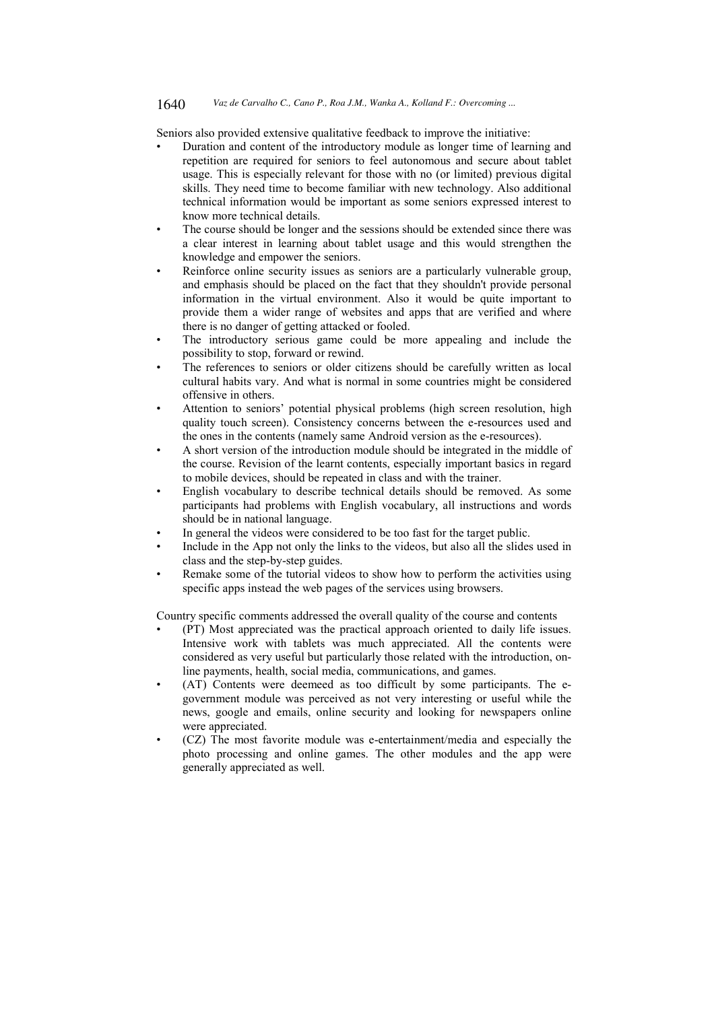#### 1640 Vaz de Carvalho C., Cano P., Roa J.M., Wanka A., Kolland F.: Overcoming ...

Seniors also provided extensive qualitative feedback to improve the initiative:

- Duration and content of the introductory module as longer time of learning and repetition are required for seniors to feel autonomous and secure about tablet usage. This is especially relevant for those with no (or limited) previous digital skills. They need time to become familiar with new technology. Also additional technical information would be important as some seniors expressed interest to know more technical details.
- The course should be longer and the sessions should be extended since there was a clear interest in learning about tablet usage and this would strengthen the knowledge and empower the seniors.
- Reinforce online security issues as seniors are a particularly vulnerable group, and emphasis should be placed on the fact that they shouldn't provide personal information in the virtual environment. Also it would be quite important to provide them a wider range of websites and apps that are verified and where there is no danger of getting attacked or fooled.
- The introductory serious game could be more appealing and include the possibility to stop, forward or rewind.
- The references to seniors or older citizens should be carefully written as local cultural habits vary. And what is normal in some countries might be considered offensive in others.
- Attention to seniors' potential physical problems (high screen resolution, high quality touch screen). Consistency concerns between the e-resources used and the ones in the contents (namely same Android version as the e-resources).
- A short version of the introduction module should be integrated in the middle of the course. Revision of the learnt contents, especially important basics in regard to mobile devices, should be repeated in class and with the trainer.
- English vocabulary to describe technical details should be removed. As some participants had problems with English vocabulary, all instructions and words should be in national language.
- In general the videos were considered to be too fast for the target public.
- Include in the App not only the links to the videos, but also all the slides used in class and the step-by-step guides.
- Remake some of the tutorial videos to show how to perform the activities using specific apps instead the web pages of the services using browsers.

Country specific comments addressed the overall quality of the course and contents

- (PT) Most appreciated was the practical approach oriented to daily life issues. Intensive work with tablets was much appreciated. All the contents were considered as very useful but particularly those related with the introduction, online payments, health, social media, communications, and games.
- (AT) Contents were deemeed as too difficult by some participants. The egovernment module was perceived as not very interesting or useful while the news, google and emails, online security and looking for newspapers online were appreciated.
- (CZ) The most favorite module was e-entertainment/media and especially the photo processing and online games. The other modules and the app were generally appreciated as well.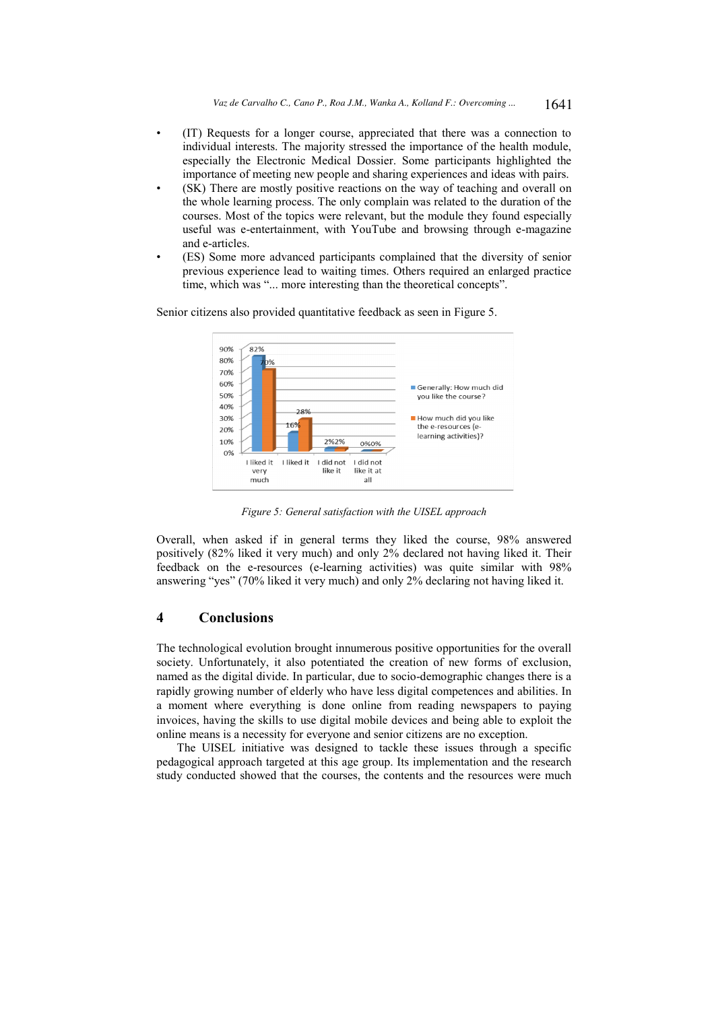- (IT) Requests for a longer course, appreciated that there was a connection to individual interests. The majority stressed the importance of the health module, especially the Electronic Medical Dossier. Some participants highlighted the importance of meeting new people and sharing experiences and ideas with pairs.
- (SK) There are mostly positive reactions on the way of teaching and overall on the whole learning process. The only complain was related to the duration of the courses. Most of the topics were relevant, but the module they found especially useful was e-entertainment, with YouTube and browsing through e-magazine and e-articles.
- (ES) Some more advanced participants complained that the diversity of senior previous experience lead to waiting times. Others required an enlarged practice time, which was "... more interesting than the theoretical concepts".

Senior citizens also provided quantitative feedback as seen in Figure 5.



Figure 5: General satisfaction with the UISEL approach

Overall, when asked if in general terms they liked the course, 98% answered positively (82% liked it very much) and only 2% declared not having liked it. Their feedback on the e-resources (e-learning activities) was quite similar with 98% answering "yes" (70% liked it very much) and only 2% declaring not having liked it.

# $\overline{\mathbf{4}}$ **Conclusions**

The technological evolution brought innumerous positive opportunities for the overall society. Unfortunately, it also potentiated the creation of new forms of exclusion, named as the digital divide. In particular, due to socio-demographic changes there is a rapidly growing number of elderly who have less digital competences and abilities. In a moment where everything is done online from reading newspapers to paying invoices, having the skills to use digital mobile devices and being able to exploit the online means is a necessity for everyone and senior citizens are no exception.

The UISEL initiative was designed to tackle these issues through a specific pedagogical approach targeted at this age group. Its implementation and the research study conducted showed that the courses, the contents and the resources were much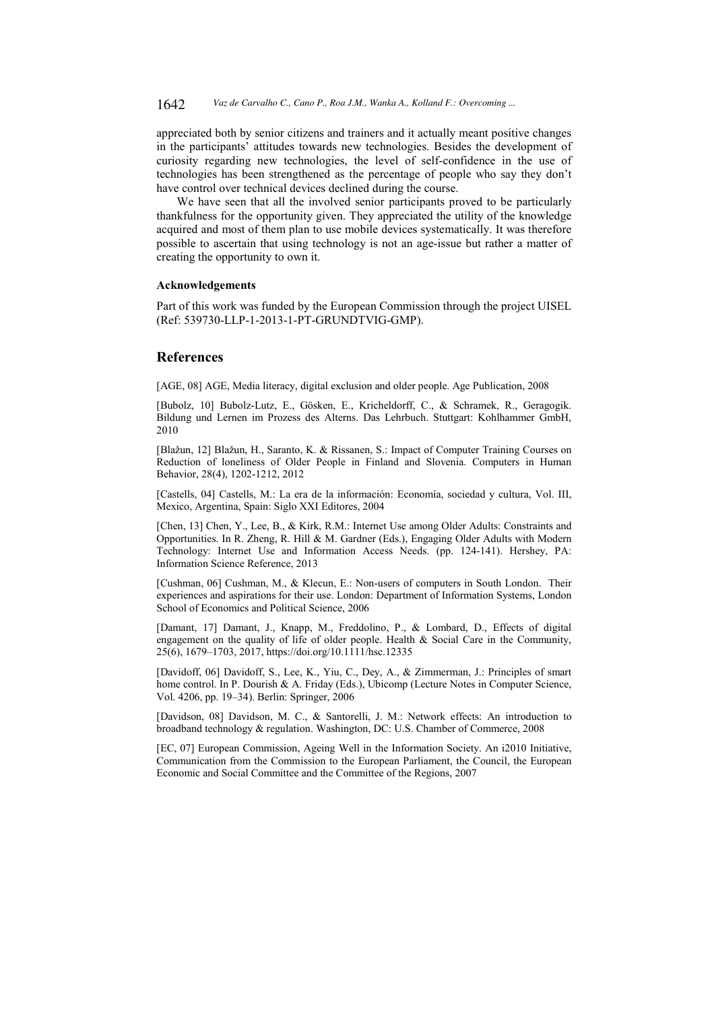appreciated both by senior citizens and trainers and it actually meant positive changes in the participants' attitudes towards new technologies. Besides the development of curiosity regarding new technologies, the level of self-confidence in the use of technologies has been strengthened as the percentage of people who say they don't have control over technical devices declined during the course.

We have seen that all the involved senior participants proved to be particularly thankfulness for the opportunity given. They appreciated the utility of the knowledge acquired and most of them plan to use mobile devices systematically. It was therefore possible to ascertain that using technology is not an age-issue but rather a matter of creating the opportunity to own it.

# **Acknowledgements**

Part of this work was funded by the European Commission through the project UISEL (Ref: 539730-LLP-1-2013-1-PT-GRUNDTVIG-GMP).

# **References**

[AGE, 08] AGE, Media literacy, digital exclusion and older people. Age Publication, 2008

[Bubolz, 10] Bubolz-Lutz, E., Gösken, E., Kricheldorff, C., & Schramek, R., Geragogik. Bildung und Lernen im Prozess des Alterns. Das Lehrbuch. Stuttgart: Kohlhammer GmbH, 2010

[Blažun, 12] Blažun, H., Saranto, K. & Rissanen, S.: Impact of Computer Training Courses on Reduction of loneliness of Older People in Finland and Slovenia. Computers in Human Behavior, 28(4), 1202-1212, 2012

[Castells, 04] Castells, M.: La era de la información: Economía, sociedad y cultura, Vol. III, Mexico, Argentina, Spain: Siglo XXI Editores, 2004

[Chen, 13] Chen, Y., Lee, B., & Kirk, R.M.: Internet Use among Older Adults: Constraints and Opportunities. In R. Zheng, R. Hill & M. Gardner (Eds.), Engaging Older Adults with Modern Technology: Internet Use and Information Access Needs. (pp. 124-141). Hershey, PA: Information Science Reference, 2013

[Cushman, 06] Cushman, M., & Klecun, E.: Non-users of computers in South London. Their experiences and aspirations for their use. London: Department of Information Systems, London School of Economics and Political Science, 2006

[Damant, 17] Damant, J., Knapp, M., Freddolino, P., & Lombard, D., Effects of digital engagement on the quality of life of older people. Health & Social Care in the Community. 25(6), 1679-1703, 2017, https://doi.org/10.1111/hsc.12335

[Davidoff, 06] Davidoff, S., Lee, K., Yiu, C., Dey, A., & Zimmerman, J.: Principles of smart home control. In P. Dourish & A. Friday (Eds.), Ubicomp (Lecture Notes in Computer Science, Vol. 4206, pp. 19-34). Berlin: Springer, 2006

[Davidson, 08] Davidson, M. C., & Santorelli, J. M.: Network effects: An introduction to broadband technology & regulation. Washington, DC: U.S. Chamber of Commerce, 2008

[EC, 07] European Commission, Ageing Well in the Information Society. An i2010 Initiative, Communication from the Commission to the European Parliament, the Council, the European Economic and Social Committee and the Committee of the Regions, 2007